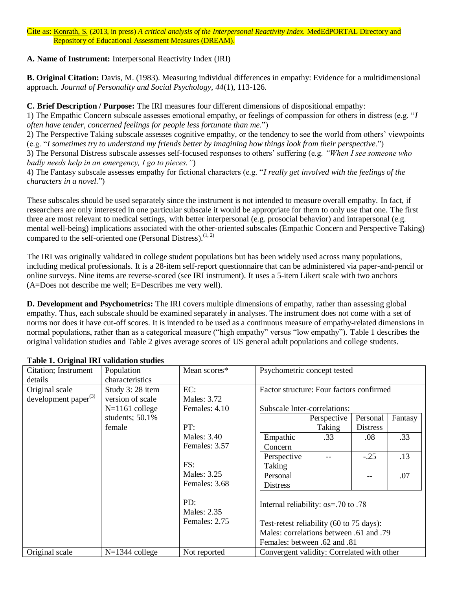Cite as: Konrath, S. (2013, in press) *A critical analysis of the Interpersonal Reactivity Index.* MedEdPORTAL Directory and Repository of Educational Assessment Measures (DREAM).

## **A. Name of Instrument:** Interpersonal Reactivity Index (IRI)

**B. Original Citation:** Davis, M. (1983). Measuring individual differences in empathy: Evidence for a multidimensional approach. *Journal of Personality and Social Psychology, 44*(1), 113-126.

**C. Brief Description / Purpose:** The IRI measures four different dimensions of dispositional empathy:

1) The Empathic Concern subscale assesses emotional empathy, or feelings of compassion for others in distress (e.g. "*I often have tender, concerned feelings for people less fortunate than me.*")

2) The Perspective Taking subscale assesses cognitive empathy, or the tendency to see the world from others' viewpoints (e.g. "*I sometimes try to understand my friends better by imagining how things look from their perspective*.")

3) The Personal Distress subscale assesses self-focused responses to others' suffering (e.g. *"When I see someone who badly needs help in an emergency, I go to pieces."*)

4) The Fantasy subscale assesses empathy for fictional characters (e.g. "*I really get involved with the feelings of the characters in a novel.*")

These subscales should be used separately since the instrument is not intended to measure overall empathy. In fact, if researchers are only interested in one particular subscale it would be appropriate for them to only use that one. The first three are most relevant to medical settings, with better interpersonal (e.g. prosocial behavior) and intrapersonal (e.g. mental well-being) implications associated with the other-oriented subscales (Empathic Concern and Perspective Taking) compared to the self-oriented one (Personal Distress). $(1, 2)$  $(1, 2)$ 

The IRI was originally validated in college student populations but has been widely used across many populations, including medical professionals. It is a 28-item self-report questionnaire that can be administered via paper-and-pencil or online surveys. Nine items are reverse-scored (see IRI instrument). It uses a 5-item Likert scale with two anchors (A=Does not describe me well; E=Describes me very well).

**D. Development and Psychometrics:** The IRI covers multiple dimensions of empathy, rather than assessing global empathy. Thus, each subscale should be examined separately in analyses. The instrument does not come with a set of norms nor does it have cut-off scores. It is intended to be used as a continuous measure of empathy-related dimensions in normal populations, rather than as a categorical measure ("high empathy" versus "low empathy"). Table 1 describes the original validation studies and Table 2 gives average scores of US general adult populations and college students.

| <b>Citation</b> ; Instrument | Population       | Mean scores*                                              | Psychometric concept tested                  |             |                 |         |
|------------------------------|------------------|-----------------------------------------------------------|----------------------------------------------|-------------|-----------------|---------|
| details                      | characteristics  |                                                           |                                              |             |                 |         |
| Original scale               | Study 3:28 item  | EC:                                                       | Factor structure: Four factors confirmed     |             |                 |         |
| development paper $(3)$      | version of scale | Males: 3.72                                               |                                              |             |                 |         |
|                              | $N=1161$ college | Females: 4.10                                             | Subscale Inter-correlations:                 |             |                 |         |
|                              | students; 50.1%  |                                                           |                                              | Perspective | Personal        | Fantasy |
|                              | female           | PT:                                                       |                                              | Taking      | <b>Distress</b> |         |
|                              |                  | Males: 3.40                                               | Empathic                                     | .33         | .08             | .33     |
|                              |                  | Females: 3.57                                             | Concern                                      |             |                 |         |
|                              |                  |                                                           | Perspective                                  |             | $-.25$          | .13     |
|                              |                  | FS:<br>Males: 3.25<br>Females: 3.68<br>PD:<br>Males: 2.35 | Taking                                       |             |                 |         |
|                              |                  |                                                           | Personal                                     |             |                 | .07     |
|                              |                  |                                                           | <b>Distress</b>                              |             |                 |         |
|                              |                  |                                                           | Internal reliability: $\alpha s$ =.70 to .78 |             |                 |         |
|                              |                  | Females: 2.75                                             | Test-retest reliability (60 to 75 days):     |             |                 |         |
|                              |                  |                                                           | Males: correlations between .61 and .79      |             |                 |         |
|                              |                  |                                                           | Females: between .62 and .81                 |             |                 |         |
| Original scale               | $N=1344$ college | Not reported                                              | Convergent validity: Correlated with other   |             |                 |         |

## **Table 1. Original IRI validation studies**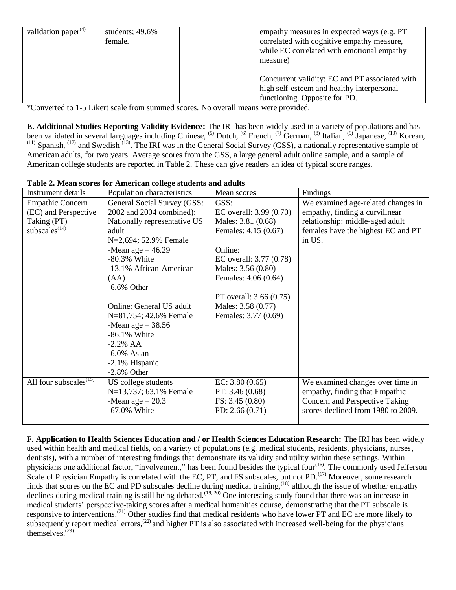| validation paper <sup>(4)</sup> | students; $49.6\%$<br>female. | empathy measures in expected ways (e.g. PT)<br>correlated with cognitive empathy measure,<br>while EC correlated with emotional empathy<br>measure) |
|---------------------------------|-------------------------------|-----------------------------------------------------------------------------------------------------------------------------------------------------|
|                                 |                               | Concurrent validity: EC and PT associated with<br>high self-esteem and healthy interpersonal<br>functioning. Opposite for PD.                       |

\*Converted to 1-5 Likert scale from summed scores. No overall means were provided.

**E. Additional Studies Reporting Validity Evidence:** The IRI has been widely used in a variety of populations and has been validated in several languages including Chinese, <sup>[\(5\)](#page-2-4)</sup> Dutch, <sup>[\(6\)](#page-2-5)</sup> French, <sup>[\(7\)](#page-2-6)</sup> German, <sup>[\(8\)](#page-2-7)</sup> Italian, <sup>[\(9\)](#page-2-8)</sup> Japanese, <sup>[\(10\)](#page-3-0)</sup> Korean, <sup>[\(11\)](#page-3-1)</sup> Spanish, <sup>[\(12\)](#page-3-2)</sup> and Swedish <sup>[\(13\)](#page-3-3)</sup>. The IRI was in the General Social Su American adults, for two years. Average scores from the GSS, a large general adult online sample, and a sample of American college students are reported in Table 2. These can give readers an idea of typical score ranges.

| Instrument details                              | Population characteristics   | Mean scores              | Findings                           |
|-------------------------------------------------|------------------------------|--------------------------|------------------------------------|
| <b>Empathic Concern</b>                         | General Social Survey (GSS:  | GSS:                     | We examined age-related changes in |
| (EC) and Perspective                            | 2002 and 2004 combined):     | EC overall: $3.99(0.70)$ | empathy, finding a curvilinear     |
| Taking (PT)                                     | Nationally representative US | Males: 3.81 (0.68)       | relationship: middle-aged adult    |
| subscales $(14)$                                | adult                        | Females: 4.15 (0.67)     | females have the highest EC and PT |
|                                                 | N=2,694; 52.9% Female        |                          | in US.                             |
|                                                 | -Mean age $= 46.29$          | Online:                  |                                    |
|                                                 | -80.3% White                 | EC overall: $3.77(0.78)$ |                                    |
|                                                 | -13.1% African-American      | Males: 3.56 (0.80)       |                                    |
|                                                 | (AA)                         | Females: 4.06 (0.64)     |                                    |
|                                                 | $-6.6\%$ Other               |                          |                                    |
|                                                 |                              | PT overall: $3.66(0.75)$ |                                    |
|                                                 | Online: General US adult     | Males: 3.58 (0.77)       |                                    |
|                                                 | N=81,754; 42.6% Female       | Females: 3.77 (0.69)     |                                    |
|                                                 | -Mean age $=$ 38.56          |                          |                                    |
|                                                 | -86.1% White                 |                          |                                    |
|                                                 | $-2.2%$ AA                   |                          |                                    |
|                                                 | $-6.0\%$ Asian               |                          |                                    |
|                                                 | -2.1% Hispanic               |                          |                                    |
|                                                 | $-2.8\%$ Other               |                          |                                    |
| All four subscales <sup><math>(15)</math></sup> | US college students          | EC: $3.80(0.65)$         | We examined changes over time in   |
|                                                 | N=13,737; 63.1% Female       | PT: 3.46(0.68)           | empathy, finding that Empathic     |
|                                                 | -Mean age $= 20.3$           | FS: 3.45(0.80)           | Concern and Perspective Taking     |
|                                                 | -67.0% White                 | PD: $2.66(0.71)$         | scores declined from 1980 to 2009. |
|                                                 |                              |                          |                                    |

#### **Table 2. Mean scores for American college students and adults**

**F. Application to Health Sciences Education and / or Health Sciences Education Research:** The IRI has been widely used within health and medical fields, on a variety of populations (e.g. medical students, residents, physicians, nurses, dentists), with a number of interesting findings that demonstrate its validity and utility within these settings. Within physicians one additional factor, "involvement," has been found besides the typical four<sup>[\(16\)](#page-3-6)</sup>. The commonly used Jefferson Scale of Physician Empathy is correlated with the EC, PT, and FS subscales, but not PD.<sup>[\(17\)](#page-3-7)</sup> Moreover, some research finds that scores on the EC and PD subscales decline during medical training,  $(18)$  although the issue of whether empathy declines during medical training is still being debated.<sup>[\(19,](#page-3-9) [20\)](#page-3-10)</sup> One interesting study found that there was an increase in medical students' perspective-taking scores after a medical humanities course, demonstrating that the PT subscale is responsive to interventions.<sup>[\(21\)](#page-3-11)</sup> Other studies find that medical residents who have lower PT and EC are more likely to subsequently report medical errors,<sup> $(22)$ </sup> and higher PT is also associated with increased well-being for the physicians themselves. $^{(23)}$  $^{(23)}$  $^{(23)}$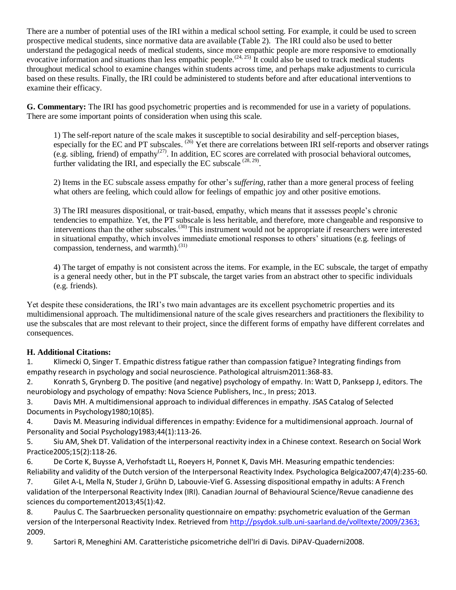There are a number of potential uses of the IRI within a medical school setting. For example, it could be used to screen prospective medical students, since normative data are available (Table 2). The IRI could also be used to better understand the pedagogical needs of medical students, since more empathic people are more responsive to emotionally evocative information and situations than less empathic people.<sup> $(24, 25)$  $(24, 25)$ </sup> It could also be used to track medical students throughout medical school to examine changes within students across time, and perhaps make adjustments to curricula based on these results. Finally, the IRI could be administered to students before and after educational interventions to examine their efficacy.

**G. Commentary:** The IRI has good psychometric properties and is recommended for use in a variety of populations. There are some important points of consideration when using this scale.

1) The self-report nature of the scale makes it susceptible to social desirability and self-perception biases, especially for the EC and PT subscales. <sup>[\(26\)](#page-3-16)</sup> Yet there are correlations between IRI self-reports and observer ratings (e.g. sibling, friend) of empathy<sup>[\(27\)](#page-3-17)</sup>. In addition, EC scores are correlated with prosocial behavioral outcomes, further validating the IRI, and especially the EC subscale  $^{(28, 29)}$  $^{(28, 29)}$  $^{(28, 29)}$  $^{(28, 29)}$ .

2) Items in the EC subscale assess empathy for other's *suffering*, rather than a more general process of feeling what others are feeling, which could allow for feelings of empathic joy and other positive emotions.

3) The IRI measures dispositional, or trait-based, empathy, which means that it assesses people's chronic tendencies to empathize. Yet, the PT subscale is less heritable, and therefore, more changeable and responsive to interventions than the other subscales.<sup>[\(30\)](#page-3-20)</sup> This instrument would not be appropriate if researchers were interested in situational empathy, which involves immediate emotional responses to others' situations (e.g. feelings of compassion, tenderness, and warmth).<sup>[\(31\)](#page-3-21)</sup>

4) The target of empathy is not consistent across the items. For example, in the EC subscale, the target of empathy is a general needy other, but in the PT subscale, the target varies from an abstract other to specific individuals (e.g. friends).

Yet despite these considerations, the IRI's two main advantages are its excellent psychometric properties and its multidimensional approach. The multidimensional nature of the scale gives researchers and practitioners the flexibility to use the subscales that are most relevant to their project, since the different forms of empathy have different correlates and consequences.

## **H. Additional Citations:**

<span id="page-2-0"></span>1. Klimecki O, Singer T. Empathic distress fatigue rather than compassion fatigue? Integrating findings from empathy research in psychology and social neuroscience. Pathological altruism2011:368-83.

<span id="page-2-1"></span>2. Konrath S, Grynberg D. The positive (and negative) psychology of empathy. In: Watt D, Panksepp J, editors. The neurobiology and psychology of empathy: Nova Science Publishers, Inc., In press; 2013.

<span id="page-2-2"></span>3. Davis MH. A multidimensional approach to individual differences in empathy. JSAS Catalog of Selected Documents in Psychology1980;10(85).

<span id="page-2-3"></span>4. Davis M. Measuring individual differences in empathy: Evidence for a multidimensional approach. Journal of Personality and Social Psychology1983;44(1):113-26.

<span id="page-2-4"></span>5. Siu AM, Shek DT. Validation of the interpersonal reactivity index in a Chinese context. Research on Social Work Practice2005;15(2):118-26.

<span id="page-2-5"></span>6. De Corte K, Buysse A, Verhofstadt LL, Roeyers H, Ponnet K, Davis MH. Measuring empathic tendencies: Reliability and validity of the Dutch version of the Interpersonal Reactivity Index. Psychologica Belgica2007;47(4):235-60.

<span id="page-2-6"></span>7. Gilet A-L, Mella N, Studer J, Grühn D, Labouvie-Vief G. Assessing dispositional empathy in adults: A French validation of the Interpersonal Reactivity Index (IRI). Canadian Journal of Behavioural Science/Revue canadienne des sciences du comportement2013;45(1):42.

<span id="page-2-7"></span>8. Paulus C. The Saarbruecken personality questionnaire on empathy: psychometric evaluation of the German version of the Interpersonal Reactivity Index. Retrieved from<http://psydok.sulb.uni-saarland.de/volltexte/2009/2363;> 2009.

<span id="page-2-8"></span>9. Sartori R, Meneghini AM. Caratteristiche psicometriche dell'Iri di Davis. DiPAV-Quaderni2008.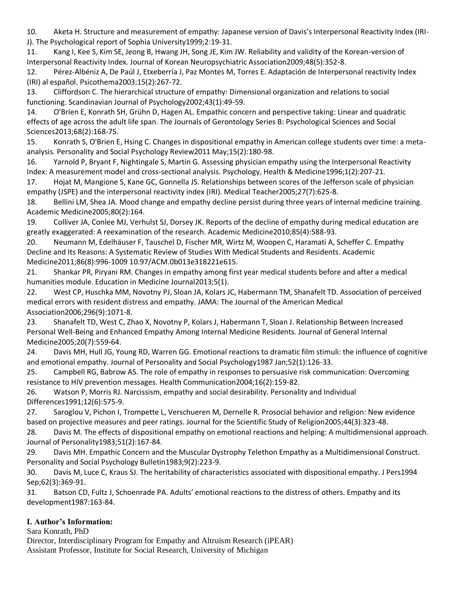<span id="page-3-0"></span>10. Aketa H. Structure and measurement of empathy: Japanese version of Davis's Interpersonal Reactivity Index (IRI-J). The Psychological report of Sophia University1999;2:19-31.

<span id="page-3-1"></span>11. Kang I, Kee S, Kim SE, Jeong B, Hwang JH, Song JE, Kim JW. Reliability and validity of the Korean-version of Interpersonal Reactivity Index. Journal of Korean Neuropsychiatric Association2009;48(5):352-8.

<span id="page-3-2"></span>12. Pérez-Albéniz A, De Paúl J, Etxeberría J, Paz Montes M, Torres E. Adaptación de Interpersonal reactivity Index (IRI) al español. Psicothema2003;15(2):267-72.

<span id="page-3-3"></span>13. Cliffordson C. The hierarchical structure of empathy: Dimensional organization and relations to social functioning. Scandinavian Journal of Psychology2002;43(1):49-59.

<span id="page-3-4"></span>14. O'Brien E, Konrath SH, Grühn D, Hagen AL. Empathic concern and perspective taking: Linear and quadratic effects of age across the adult life span. The Journals of Gerontology Series B: Psychological Sciences and Social Sciences2013;68(2):168-75.

<span id="page-3-5"></span>15. Konrath S, O'Brien E, Hsing C. Changes in dispositional empathy in American college students over time: a metaanalysis. Personality and Social Psychology Review2011 May;15(2):180-98.

<span id="page-3-6"></span>16. Yarnold P, Bryant F, Nightingale S, Martin G. Assessing physician empathy using the Interpersonal Reactivity Index: A measurement model and cross-sectional analysis. Psychology, Health & Medicine1996;1(2):207-21.

<span id="page-3-7"></span>17. Hojat M, Mangione S, Kane GC, Gonnella JS. Relationships between scores of the Jefferson scale of physician empathy (JSPE) and the interpersonal reactivity index (IRI). Medical Teacher2005;27(7):625-8.

<span id="page-3-8"></span>18. Bellini LM, Shea JA. Mood change and empathy decline persist during three years of internal medicine training. Academic Medicine2005;80(2):164.

<span id="page-3-9"></span>19. Colliver JA, Conlee MJ, Verhulst SJ, Dorsey JK. Reports of the decline of empathy during medical education are greatly exaggerated: A reexamination of the research. Academic Medicine2010;85(4):588-93.

<span id="page-3-10"></span>20. Neumann M, Edelhäuser F, Tauschel D, Fischer MR, Wirtz M, Woopen C, Haramati A, Scheffer C. Empathy Decline and Its Reasons: A Systematic Review of Studies With Medical Students and Residents. Academic Medicine2011;86(8):996-1009 10.97/ACM.0b013e318221e615.

<span id="page-3-11"></span>21. Shankar PR, Piryani RM. Changes in empathy among first year medical students before and after a medical humanities module. Education in Medicine Journal2013;5(1).

<span id="page-3-12"></span>22. West CP, Huschka MM, Novotny PJ, Sloan JA, Kolars JC, Habermann TM, Shanafelt TD. Association of perceived medical errors with resident distress and empathy. JAMA: The Journal of the American Medical Association2006;296(9):1071-8.

<span id="page-3-13"></span>23. Shanafelt TD, West C, Zhao X, Novotny P, Kolars J, Habermann T, Sloan J. Relationship Between Increased Personal Well-Being and Enhanced Empathy Among Internal Medicine Residents. Journal of General Internal Medicine2005;20(7):559-64.

<span id="page-3-14"></span>24. Davis MH, Hull JG, Young RD, Warren GG. Emotional reactions to dramatic film stimuli: the influence of cognitive and emotional empathy. Journal of Personality and Social Psychology1987 Jan;52(1):126-33.

<span id="page-3-15"></span>25. Campbell RG, Babrow AS. The role of empathy in responses to persuasive risk communication: Overcoming resistance to HIV prevention messages. Health Communication2004;16(2):159-82.

<span id="page-3-16"></span>26. Watson P, Morris RJ. Narcissism, empathy and social desirability. Personality and Individual Differences1991;12(6):575-9.

<span id="page-3-17"></span>27. Saroglou V, Pichon I, Trompette L, Verschueren M, Dernelle R. Prosocial behavior and religion: New evidence based on projective measures and peer ratings. Journal for the Scientific Study of Religion2005;44(3):323-48.

<span id="page-3-18"></span>28. Davis M. The effects of dispositional empathy on emotional reactions and helping: A multidimensional approach. Journal of Personality1983;51(2):167-84.

<span id="page-3-19"></span>29. Davis MH. Empathic Concern and the Muscular Dystrophy Telethon Empathy as a Multidimensional Construct. Personality and Social Psychology Bulletin1983;9(2):223-9.

<span id="page-3-20"></span>30. Davis M, Luce C, Kraus SJ. The heritability of characteristics associated with dispositional empathy. J Pers1994 Sep;62(3):369-91.

<span id="page-3-21"></span>31. Batson CD, Fultz J, Schoenrade PA. Adults' emotional reactions to the distress of others. Empathy and its development1987:163-84.

# **I. Author's Information:**

Sara Konrath, PhD

Director, Interdisciplinary Program for Empathy and Altruism Research (iPEAR) Assistant Professor, Institute for Social Research, University of Michigan